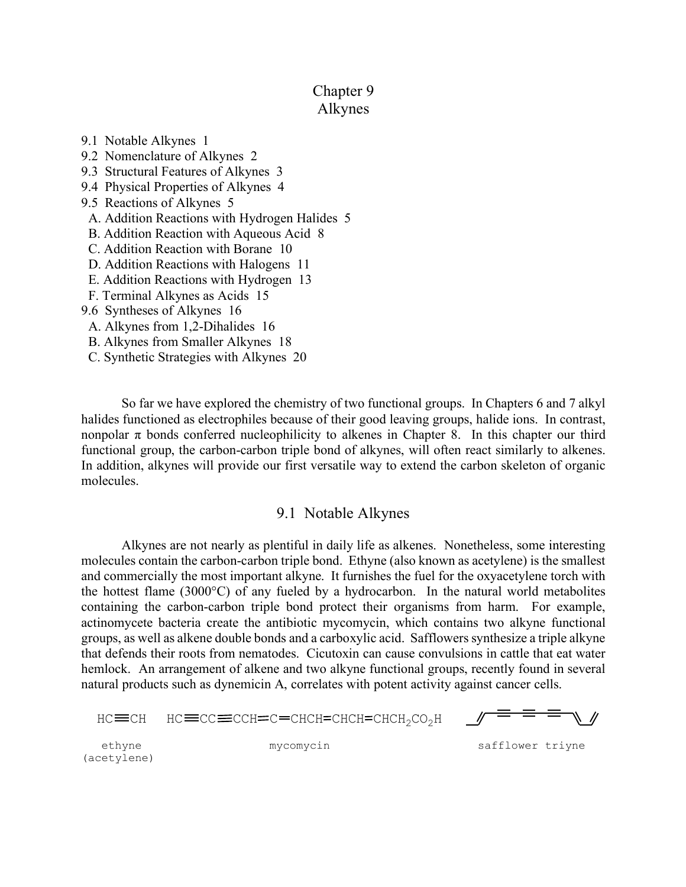# Chapter 9 Alkynes

9.1 Notable Alkynes 1 9.2 Nomenclature of Alkynes 2 9.3 Structural Features of Alkynes 3 9.4 Physical Properties of Alkynes 4 9.5 Reactions of Alkynes 5 A. Addition Reactions with Hydrogen Halides 5 B. Addition Reaction with Aqueous Acid 8 C. Addition Reaction with Borane 10 D. Addition Reactions with Halogens 11 E. Addition Reactions with Hydrogen 13 F. Terminal Alkynes as Acids 15 9.6 Syntheses of Alkynes 16 A. Alkynes from 1,2-Dihalides 16 B. Alkynes from Smaller Alkynes 18

C. Synthetic Strategies with Alkynes 20

So far we have explored the chemistry of two functional groups. In Chapters 6 and 7 alkyl halides functioned as electrophiles because of their good leaving groups, halide ions. In contrast, nonpolar  $\pi$  bonds conferred nucleophilicity to alkenes in Chapter 8. In this chapter our third functional group, the carbon-carbon triple bond of alkynes, will often react similarly to alkenes. In addition, alkynes will provide our first versatile way to extend the carbon skeleton of organic molecules.

## 9.1 Notable Alkynes

Alkynes are not nearly as plentiful in daily life as alkenes. Nonetheless, some interesting molecules contain the carbon-carbon triple bond. Ethyne (also known as acetylene) is the smallest and commercially the most important alkyne. It furnishes the fuel for the oxyacetylene torch with the hottest flame (3000°C) of any fueled by a hydrocarbon. In the natural world metabolites containing the carbon-carbon triple bond protect their organisms from harm. For example, actinomycete bacteria create the antibiotic mycomycin, which contains two alkyne functional groups, as well as alkene double bonds and a carboxylic acid. Safflowers synthesize a triple alkyne that defends their roots from nematodes. Cicutoxin can cause convulsions in cattle that eat water hemlock. An arrangement of alkene and two alkyne functional groups, recently found in several natural products such as dynemicin A, correlates with potent activity against cancer cells.

 $HC = CH$   $HC = CC = CCH = C = CHCH = CHCH = CHCH<sub>2</sub>CO<sub>2</sub>H$ 

(acetylene)

ethyne mycomycin safflower triyne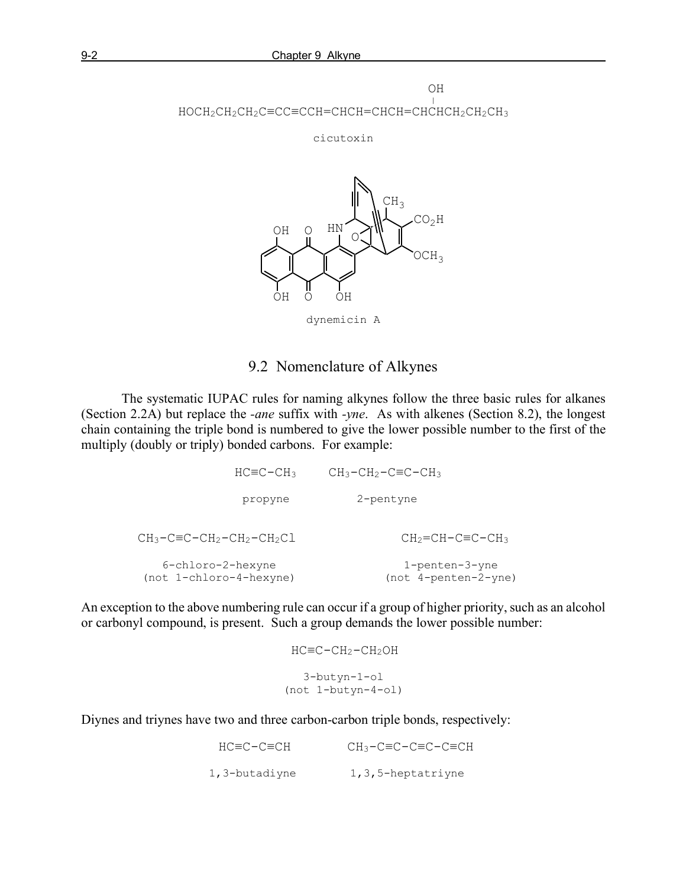

cicutoxin



dynemicin A

# 9.2 Nomenclature of Alkynes

The systematic IUPAC rules for naming alkynes follow the three basic rules for alkanes (Section 2.2A) but replace the *-ane* suffix with *-yne*. As with alkenes (Section 8.2), the longest chain containing the triple bond is numbered to give the lower possible number to the first of the multiply (doubly or triply) bonded carbons. For example:

> HC≡C-CH3 CH3-CH2-C≡C-CH3 propyne 2-pentyne  $CH_3-C=C-CH_2-CH_2-CH_2CL$   $CH_2=CH-CE-C+CH_3$  6-chloro-2-hexyne 1-penten-3-yne (not 1-chloro-4-hexyne) (not 4-penten-2-yne)

An exception to the above numbering rule can occur if a group of higher priority, such as an alcohol or carbonyl compound, is present. Such a group demands the lower possible number:

$$
HC \equiv C - CH_2 - CH_2OH
$$
  
\n
$$
3 - butyn - 1 - ol
$$
  
\n
$$
(not 1 - butyn - 4 - ol)
$$

Diynes and triynes have two and three carbon-carbon triple bonds, respectively:

| HC≡C−C≡CH     | CH3-C≡C-C≡C-C≡CH       |
|---------------|------------------------|
| 1,3-butadiyne | $1, 3, 5$ -heptatriyne |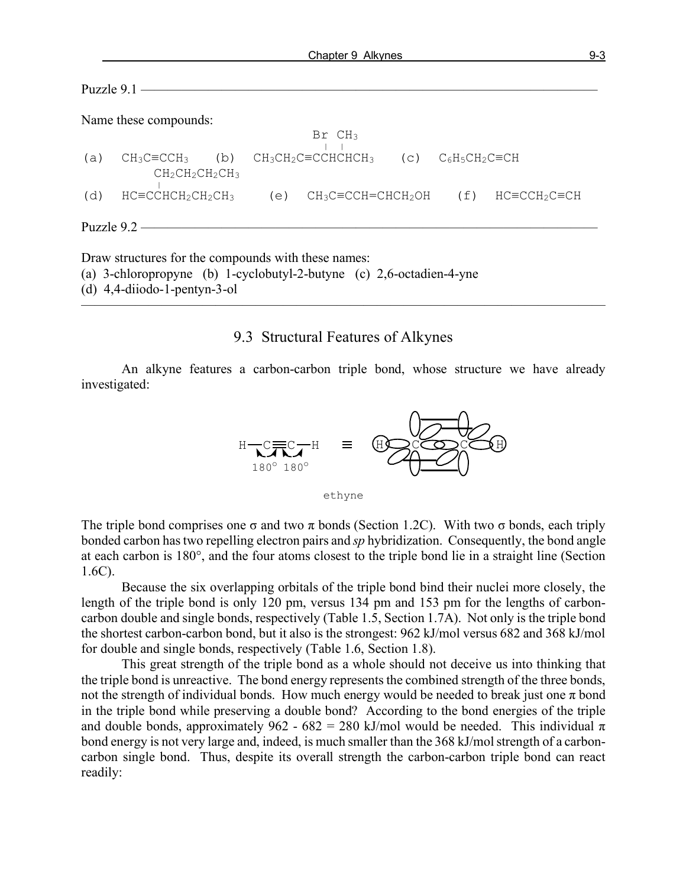Name these compounds:

```
\text{Br} \quad \text{CH}_3(a) CH_3C\equiv CCH_3 (b) CH_3CH_2C\equiv CCHCHCHCH_3 (c) C_6H_5CH_2C\equiv CHCH_2CH_2CH_2CH_3<br>
(d) HC=CCHCH_2CH_2CH_3(e) CH<sub>3</sub>C≡CCH=CHCH<sub>2</sub>OH (f) HC≡CCH<sub>2</sub>C≡CH
Puzzle 9.2 —
```
Draw structures for the compounds with these names:

(a) 3-chloropropyne (b) 1-cyclobutyl-2-butyne (c) 2,6-octadien-4-yne

(d) 4,4-diiodo-1-pentyn-3-ol

#### 9.3 Structural Features of Alkynes

 $\overline{\phantom{a}}$  , and the contract of the contract of  $\overline{\phantom{a}}$ 

An alkyne features a carbon-carbon triple bond, whose structure we have already investigated:



ethyne

The triple bond comprises one  $\sigma$  and two  $\pi$  bonds (Section 1.2C). With two  $\sigma$  bonds, each triply bonded carbon has two repelling electron pairs and *sp* hybridization. Consequently, the bond angle at each carbon is 180°, and the four atoms closest to the triple bond lie in a straight line (Section 1.6C).

Because the six overlapping orbitals of the triple bond bind their nuclei more closely, the length of the triple bond is only 120 pm, versus 134 pm and 153 pm for the lengths of carboncarbon double and single bonds, respectively (Table 1.5, Section 1.7A). Not only is the triple bond the shortest carbon-carbon bond, but it also is the strongest: 962 kJ/mol versus 682 and 368 kJ/mol for double and single bonds, respectively (Table 1.6, Section 1.8).

This great strength of the triple bond as a whole should not deceive us into thinking that the triple bond is unreactive. The bond energy represents the combined strength of the three bonds, not the strength of individual bonds. How much energy would be needed to break just one  $\pi$  bond in the triple bond while preserving a double bond? According to the bond energies of the triple and double bonds, approximately 962 - 682 = 280 kJ/mol would be needed. This individual  $\pi$ bond energy is not very large and, indeed, is much smaller than the 368 kJ/mol strength of a carboncarbon single bond. Thus, despite its overall strength the carbon-carbon triple bond can react readily: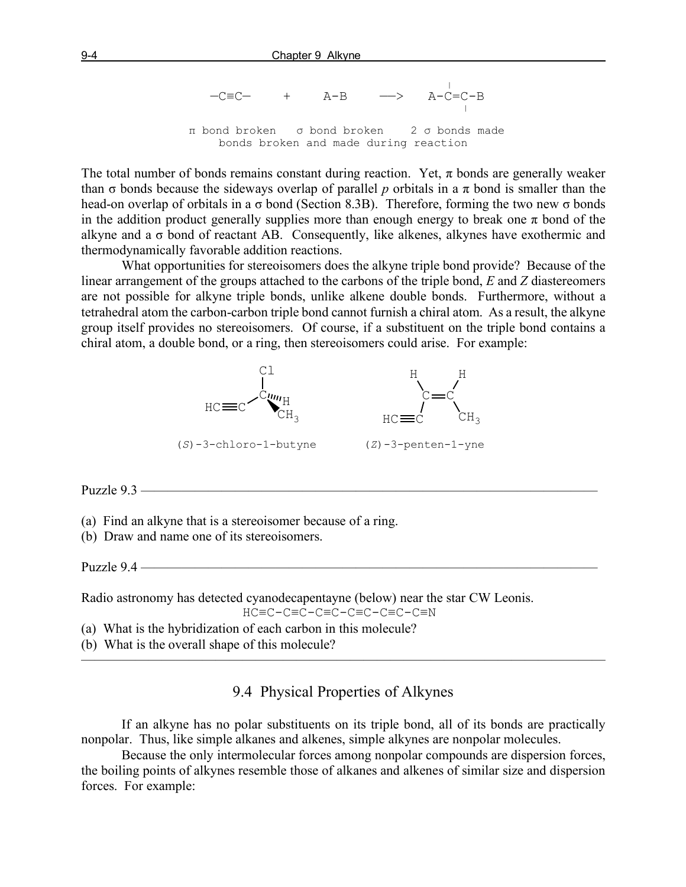|  $-C \equiv C \quad + \quad A-B \quad \longrightarrow \quad A-C=C-B$  π bond broken σ bond broken 2 σ bonds made bonds broken and made during reaction

The total number of bonds remains constant during reaction. Yet,  $\pi$  bonds are generally weaker than  $\sigma$  bonds because the sideways overlap of parallel p orbitals in a  $\pi$  bond is smaller than the head-on overlap of orbitals in a  $\sigma$  bond (Section 8.3B). Therefore, forming the two new  $\sigma$  bonds in the addition product generally supplies more than enough energy to break one  $\pi$  bond of the alkyne and a  $\sigma$  bond of reactant AB. Consequently, like alkenes, alkynes have exothermic and thermodynamically favorable addition reactions.

What opportunities for stereoisomers does the alkyne triple bond provide? Because of the linear arrangement of the groups attached to the carbons of the triple bond, *E* and *Z* diastereomers are not possible for alkyne triple bonds, unlike alkene double bonds. Furthermore, without a tetrahedral atom the carbon-carbon triple bond cannot furnish a chiral atom. As a result, the alkyne group itself provides no stereoisomers. Of course, if a substituent on the triple bond contains a chiral atom, a double bond, or a ring, then stereoisomers could arise. For example:



Puzzle 9.3 —————

(a) Find an alkyne that is a stereoisomer because of a ring.

(b) Draw and name one of its stereoisomers.

Puzzle  $9.4$  —

Radio astronomy has detected cyanodecapentayne (below) near the star CW Leonis. HC≡C-C≡C-C≡C-C≡C-C≡C-C≡N

(a) What is the hybridization of each carbon in this molecule?

(b) What is the overall shape of this molecule?

9.4 Physical Properties of Alkynes

———————————————————————————————————————

If an alkyne has no polar substituents on its triple bond, all of its bonds are practically nonpolar. Thus, like simple alkanes and alkenes, simple alkynes are nonpolar molecules.

Because the only intermolecular forces among nonpolar compounds are dispersion forces, the boiling points of alkynes resemble those of alkanes and alkenes of similar size and dispersion forces. For example: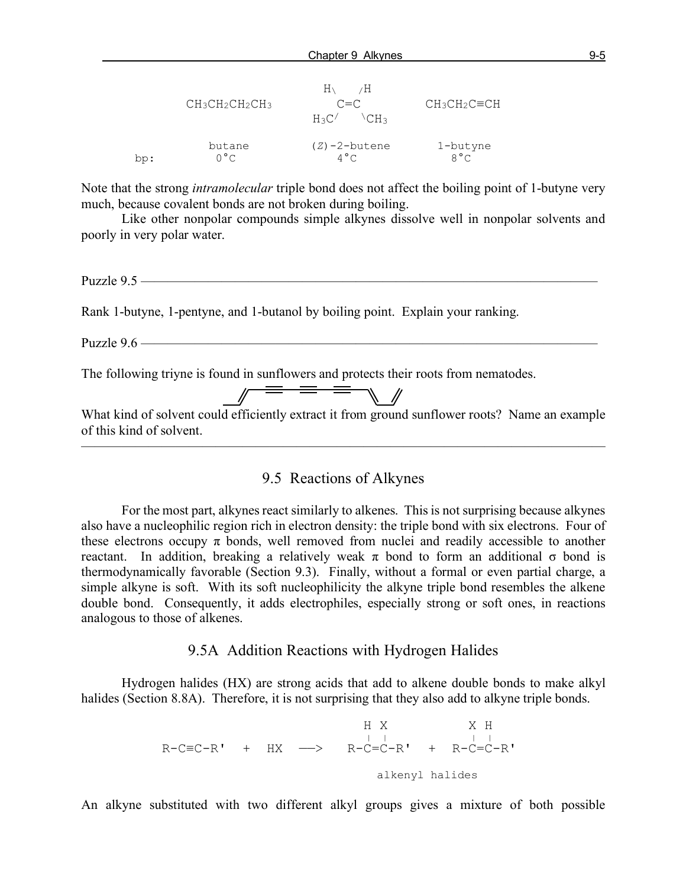|      | $CH_3CH_2CH_2CH_3$ | $H_{\Lambda}$<br>⁄Н<br>$C = C$<br>$H_3C'$<br>≀CH ج | $CH_3CH_2C=CH$ |
|------|--------------------|----------------------------------------------------|----------------|
| : ad | butane             | $(Z)$ -2-butene                                    | 1-butyne       |
|      | $0^{\circ}$ C      | $4^{\circ}$ C                                      | $8^{\circ}$ C  |

Note that the strong *intramolecular* triple bond does not affect the boiling point of 1-butyne very much, because covalent bonds are not broken during boiling.

Like other nonpolar compounds simple alkynes dissolve well in nonpolar solvents and poorly in very polar water.

Puzzle 9.5 —

Rank 1-butyne, 1-pentyne, and 1-butanol by boiling point. Explain your ranking.

Puzzle 9.6 ————————————

The following triyne is found in sunflowers and protects their roots from nematodes.

 What kind of solvent could efficiently extract it from ground sunflower roots? Name an example of this kind of solvent.

9.5 Reactions of Alkynes

 $\overline{\phantom{a}}$  , and the contract of the contract of  $\overline{\phantom{a}}$ 

For the most part, alkynes react similarly to alkenes. This is not surprising because alkynes also have a nucleophilic region rich in electron density: the triple bond with six electrons. Four of these electrons occupy  $\pi$  bonds, well removed from nuclei and readily accessible to another reactant. In addition, breaking a relatively weak  $\pi$  bond to form an additional  $\sigma$  bond is thermodynamically favorable (Section 9.3). Finally, without a formal or even partial charge, a simple alkyne is soft. With its soft nucleophilicity the alkyne triple bond resembles the alkene double bond. Consequently, it adds electrophiles, especially strong or soft ones, in reactions analogous to those of alkenes.

9.5A Addition Reactions with Hydrogen Halides

Hydrogen halides (HX) are strong acids that add to alkene double bonds to make alkyl halides (Section 8.8A). Therefore, it is not surprising that they also add to alkyne triple bonds.

 H X X H | | | <sup>|</sup> R-C≡C-R' + HX ——> R-C=C-R' + R-C=C-R' alkenyl halides

An alkyne substituted with two different alkyl groups gives a mixture of both possible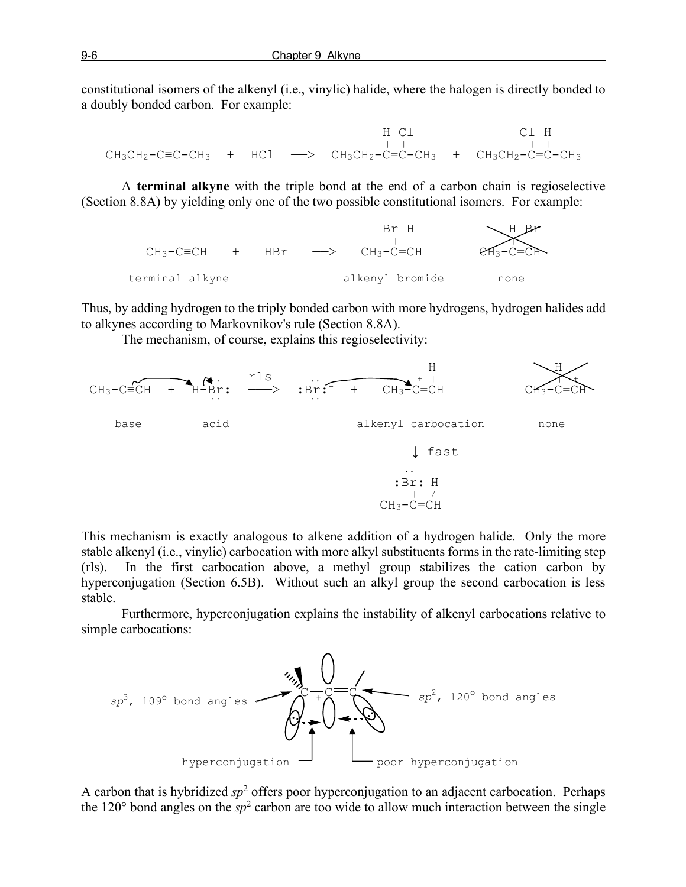constitutional isomers of the alkenyl (i.e., vinylic) halide, where the halogen is directly bonded to a doubly bonded carbon. For example:

 H Cl Cl H | | | | CH3CH2-C≡C-CH3 + HCl ——> CH3CH2-C=C-CH3 + CH3CH2-C=C-CH3

A **terminal alkyne** with the triple bond at the end of a carbon chain is regioselective (Section 8.8A) by yielding only one of the two possible constitutional isomers. For example:



Thus, by adding hydrogen to the triply bonded carbon with more hydrogens, hydrogen halides add to alkynes according to Markovnikov's rule (Section 8.8A).

The mechanism, of course, explains this regioselectivity:



This mechanism is exactly analogous to alkene addition of a hydrogen halide. Only the more stable alkenyl (i.e., vinylic) carbocation with more alkyl substituents forms in the rate-limiting step (rls). In the first carbocation above, a methyl group stabilizes the cation carbon by hyperconjugation (Section 6.5B). Without such an alkyl group the second carbocation is less stable.

Furthermore, hyperconjugation explains the instability of alkenyl carbocations relative to simple carbocations:



A carbon that is hybridized  $sp^2$  offers poor hyperconjugation to an adjacent carbocation. Perhaps the 120 $\degree$  bond angles on the  $sp^2$  carbon are too wide to allow much interaction between the single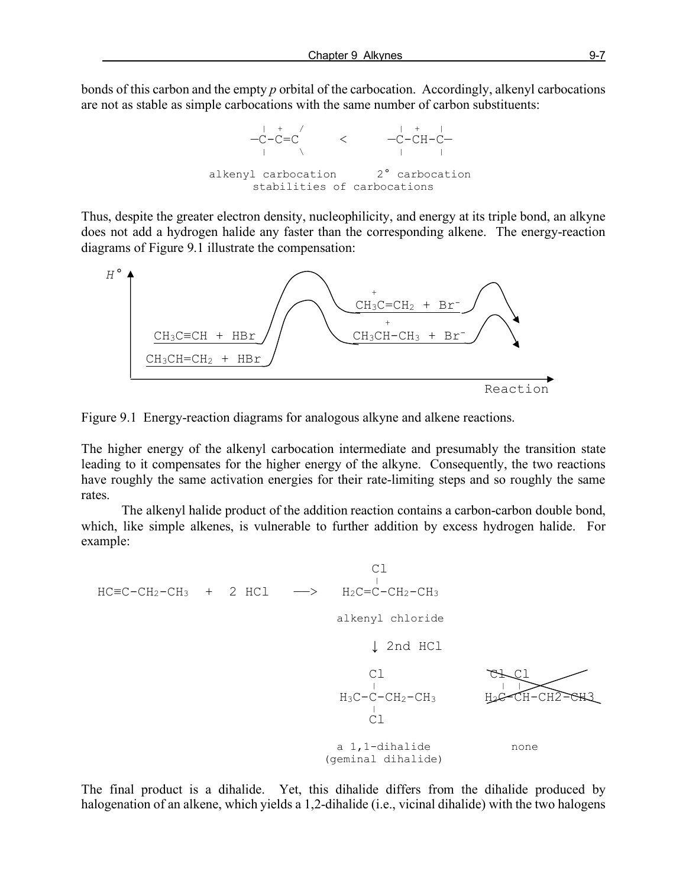bonds of this carbon and the empty *p* orbital of the carbocation. Accordingly, alkenyl carbocations are not as stable as simple carbocations with the same number of carbon substituents:



Thus, despite the greater electron density, nucleophilicity, and energy at its triple bond, an alkyne does not add a hydrogen halide any faster than the corresponding alkene. The energy-reaction diagrams of Figure 9.1 illustrate the compensation:



Figure 9.1 Energy-reaction diagrams for analogous alkyne and alkene reactions.

The higher energy of the alkenyl carbocation intermediate and presumably the transition state leading to it compensates for the higher energy of the alkyne. Consequently, the two reactions have roughly the same activation energies for their rate-limiting steps and so roughly the same rates.

The alkenyl halide product of the addition reaction contains a carbon-carbon double bond, which, like simple alkenes, is vulnerable to further addition by excess hydrogen halide. For example:



The final product is a dihalide. Yet, this dihalide differs from the dihalide produced by halogenation of an alkene, which yields a 1,2-dihalide (i.e., vicinal dihalide) with the two halogens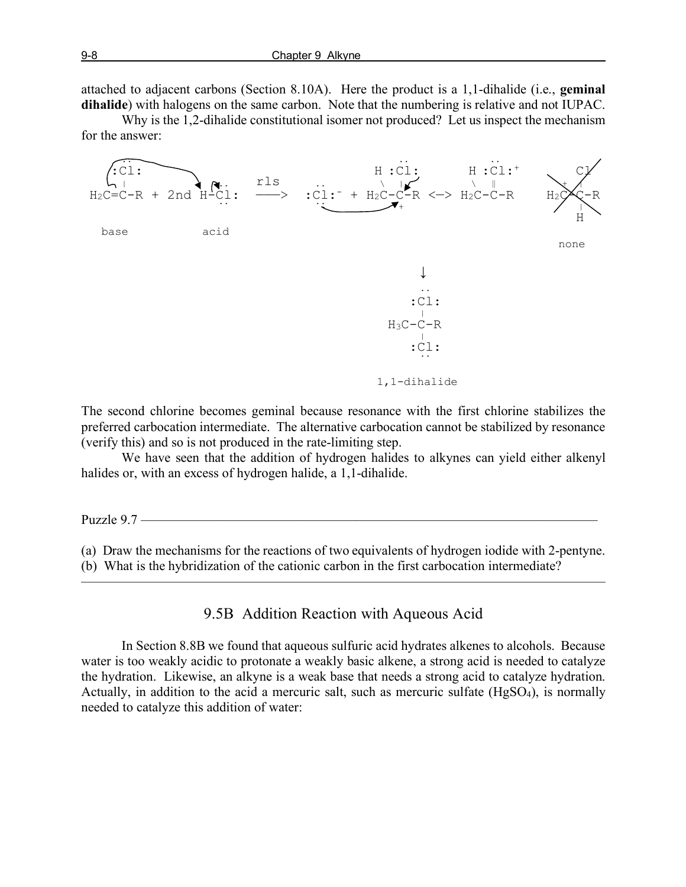attached to adjacent carbons (Section 8.10A). Here the product is a 1,1-dihalide (i.e., **geminal dihalide**) with halogens on the same carbon. Note that the numbering is relative and not IUPAC.

Why is the 1,2-dihalide constitutional isomer not produced? Let us inspect the mechanism for the answer:



The second chlorine becomes geminal because resonance with the first chlorine stabilizes the preferred carbocation intermediate. The alternative carbocation cannot be stabilized by resonance (verify this) and so is not produced in the rate-limiting step.

We have seen that the addition of hydrogen halides to alkynes can yield either alkenyl halides or, with an excess of hydrogen halide, a 1,1-dihalide.

Puzzle  $9.7$  –

(a) Draw the mechanisms for the reactions of two equivalents of hydrogen iodide with 2-pentyne. (b) What is the hybridization of the cationic carbon in the first carbocation intermediate?

———————————————————————————————————————

9.5B Addition Reaction with Aqueous Acid

In Section 8.8B we found that aqueous sulfuric acid hydrates alkenes to alcohols. Because water is too weakly acidic to protonate a weakly basic alkene, a strong acid is needed to catalyze the hydration. Likewise, an alkyne is a weak base that needs a strong acid to catalyze hydration. Actually, in addition to the acid a mercuric salt, such as mercuric sulfate (HgSO4), is normally needed to catalyze this addition of water: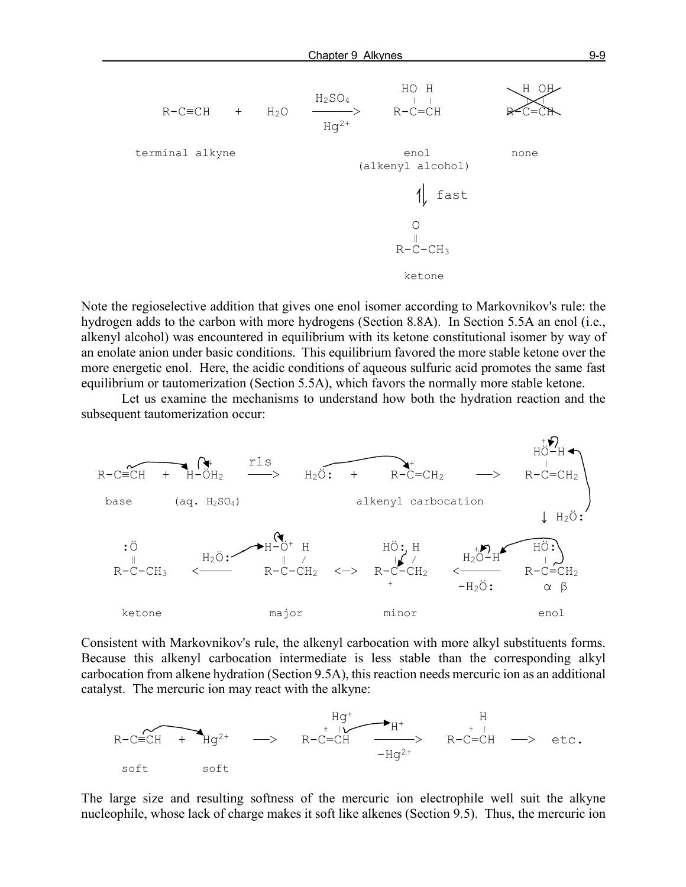

Note the regioselective addition that gives one enol isomer according to Markovnikov's rule: the hydrogen adds to the carbon with more hydrogens (Section 8.8A). In Section 5.5A an enol (i.e., alkenyl alcohol) was encountered in equilibrium with its ketone constitutional isomer by way of an enolate anion under basic conditions. This equilibrium favored the more stable ketone over the more energetic enol. Here, the acidic conditions of aqueous sulfuric acid promotes the same fast equilibrium or tautomerization (Section 5.5A), which favors the normally more stable ketone.

Let us examine the mechanisms to understand how both the hydration reaction and the subsequent tautomerization occur:



Consistent with Markovnikov's rule, the alkenyl carbocation with more alkyl substituents forms. Because this alkenyl carbocation intermediate is less stable than the corresponding alkyl carbocation from alkene hydration (Section 9.5A), this reaction needs mercuric ion as an additional catalyst. The mercuric ion may react with the alkyne:



The large size and resulting softness of the mercuric ion electrophile well suit the alkyne nucleophile, whose lack of charge makes it soft like alkenes (Section 9.5). Thus, the mercuric ion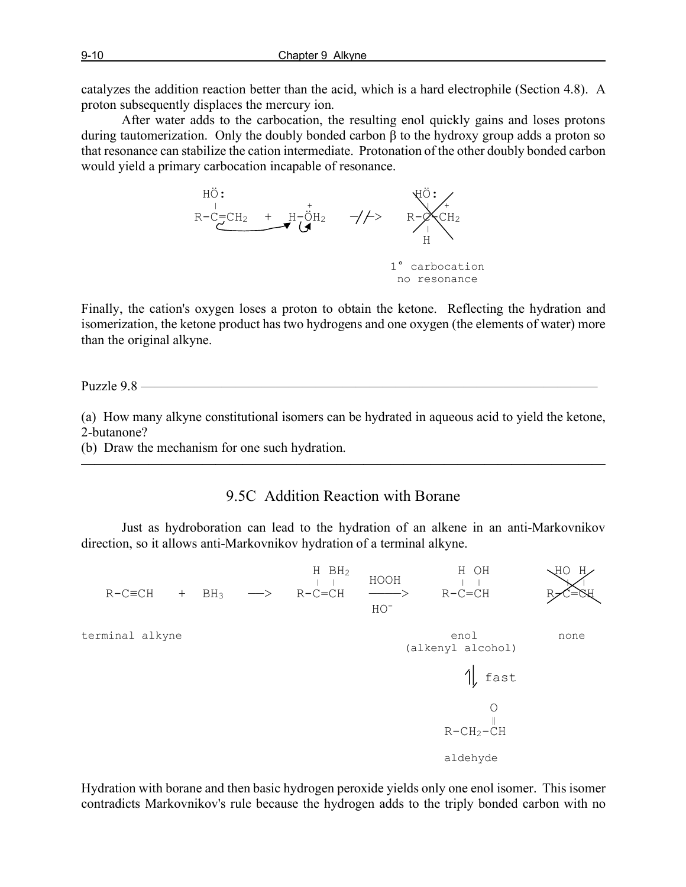catalyzes the addition reaction better than the acid, which is a hard electrophile (Section 4.8). A proton subsequently displaces the mercury ion.

After water adds to the carbocation, the resulting enol quickly gains and loses protons during tautomerization. Only the doubly bonded carbon β to the hydroxy group adds a proton so that resonance can stabilize the cation intermediate. Protonation of the other doubly bonded carbon would yield a primary carbocation incapable of resonance.



Finally, the cation's oxygen loses a proton to obtain the ketone. Reflecting the hydration and isomerization, the ketone product has two hydrogens and one oxygen (the elements of water) more than the original alkyne.

Puzzle 9.8 —

(a) How many alkyne constitutional isomers can be hydrated in aqueous acid to yield the ketone, 2-butanone?

(b) Draw the mechanism for one such hydration.

# 9.5C Addition Reaction with Borane

———————————————————————————————————————

Just as hydroboration can lead to the hydration of an alkene in an anti-Markovnikov direction, so it allows anti-Markovnikov hydration of a terminal alkyne.

 $H \quad BH_2$  H OH  $H \quad H \quad H$  H OH  $R-C\equiv CH$  +  $BH_3$   $\longrightarrow$   $R-C=CH$   $\longrightarrow$   $R-C=CH$   $\longrightarrow$   $R-C=CH$ <br> $\text{HO}$  HOterminal alkyne enol none had alkyne enol none (alkenyl alcohol)  $\parallel$  fast O ‖  $R-CH<sub>2</sub>-CH$ aldehyde

Hydration with borane and then basic hydrogen peroxide yields only one enol isomer. This isomer contradicts Markovnikov's rule because the hydrogen adds to the triply bonded carbon with no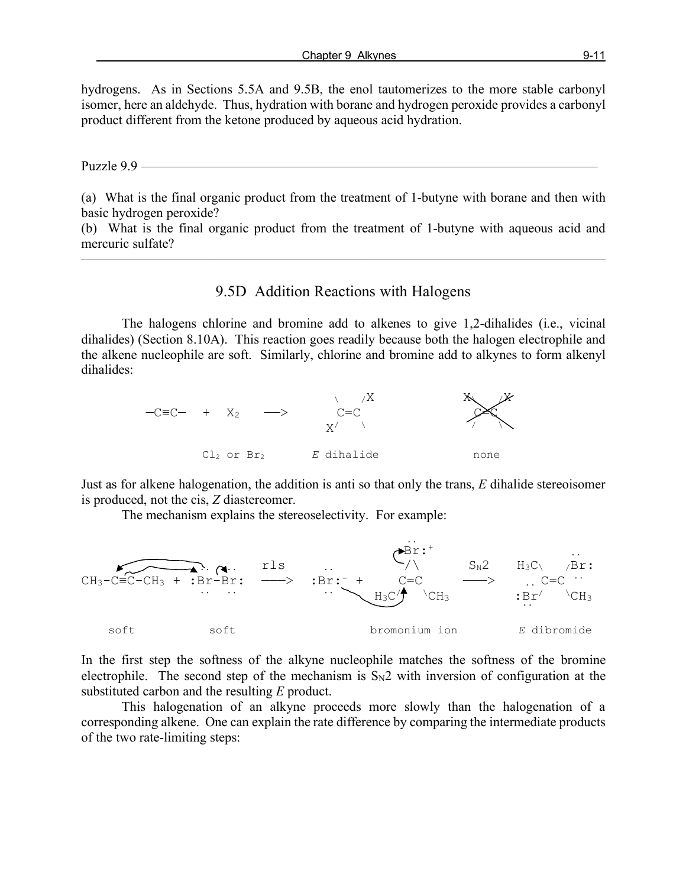hydrogens. As in Sections 5.5A and 9.5B, the enol tautomerizes to the more stable carbonyl isomer, here an aldehyde. Thus, hydration with borane and hydrogen peroxide provides a carbonyl product different from the ketone produced by aqueous acid hydration.

Puzzle 9.9 ——————————————————————————————————

(a) What is the final organic product from the treatment of 1-butyne with borane and then with basic hydrogen peroxide?

(b) What is the final organic product from the treatment of 1-butyne with aqueous acid and mercuric sulfate?

———————————————————————————————————————

## 9.5D Addition Reactions with Halogens

The halogens chlorine and bromine add to alkenes to give 1,2-dihalides (i.e., vicinal dihalides) (Section 8.10A). This reaction goes readily because both the halogen electrophile and the alkene nucleophile are soft. Similarly, chlorine and bromine add to alkynes to form alkenyl dihalides:



Just as for alkene halogenation, the addition is anti so that only the trans, *E* dihalide stereoisomer is produced, not the cis, *Z* diastereomer.

The mechanism explains the stereoselectivity. For example:



In the first step the softness of the alkyne nucleophile matches the softness of the bromine electrophile. The second step of the mechanism is  $S_N2$  with inversion of configuration at the substituted carbon and the resulting *E* product.

This halogenation of an alkyne proceeds more slowly than the halogenation of a corresponding alkene. One can explain the rate difference by comparing the intermediate products of the two rate-limiting steps: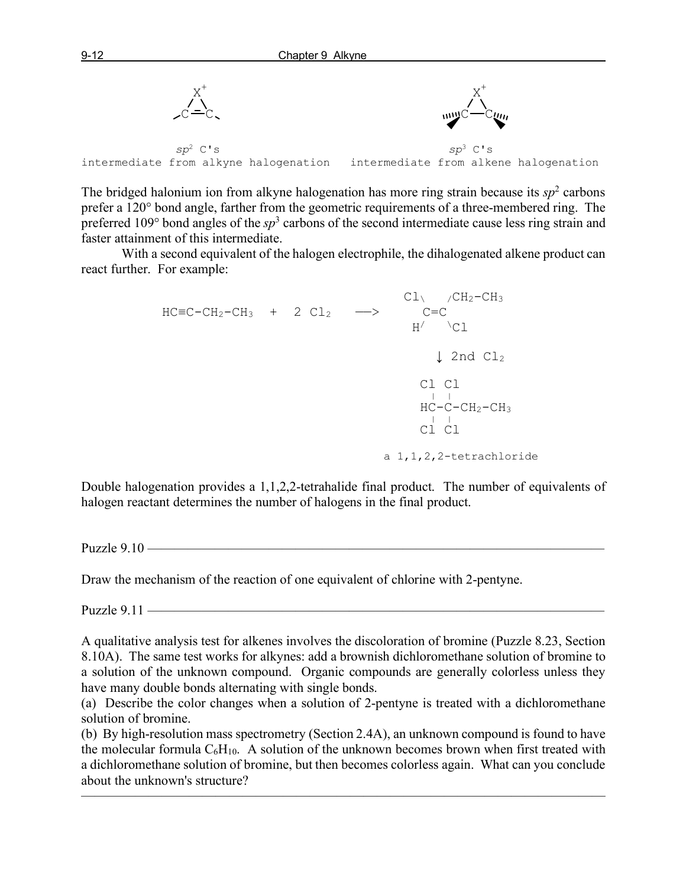

The bridged halonium ion from alkyne halogenation has more ring strain because its  $sp<sup>2</sup>$  carbons prefer a 120° bond angle, farther from the geometric requirements of a three-membered ring. The preferred 109° bond angles of the *sp*<sup>3</sup> carbons of the second intermediate cause less ring strain and faster attainment of this intermediate.

With a second equivalent of the halogen electrophile, the dihalogenated alkene product can react further. For example:

 $CL \qquad /CH_2-CH_3$  $HC=CC-H<sub>2</sub>-CH<sub>3</sub> + 2 CL<sub>2</sub>$  —>  $C=C$  $H/ \quad \angle C1$ ↓ 2nd Cl<sub>2</sub> Cl Cl  $HC-C-CH<sub>2</sub>-CH<sub>3</sub>$  $\text{HC}-\text{C}-\text{CH}_2-\text{CH}_3$ Cl Cl a 1,1,2,2-tetrachloride

Double halogenation provides a 1,1,2,2-tetrahalide final product. The number of equivalents of halogen reactant determines the number of halogens in the final product.

Puzzle 9 $10 -$ 

Draw the mechanism of the reaction of one equivalent of chlorine with 2-pentyne.

Puzzle  $9.11$  —

A qualitative analysis test for alkenes involves the discoloration of bromine (Puzzle 8.23, Section 8.10A). The same test works for alkynes: add a brownish dichloromethane solution of bromine to a solution of the unknown compound. Organic compounds are generally colorless unless they have many double bonds alternating with single bonds.

(a) Describe the color changes when a solution of 2-pentyne is treated with a dichloromethane solution of bromine.

(b) By high-resolution mass spectrometry (Section 2.4A), an unknown compound is found to have the molecular formula  $C_6H_{10}$ . A solution of the unknown becomes brown when first treated with a dichloromethane solution of bromine, but then becomes colorless again. What can you conclude about the unknown's structure?

———————————————————————————————————————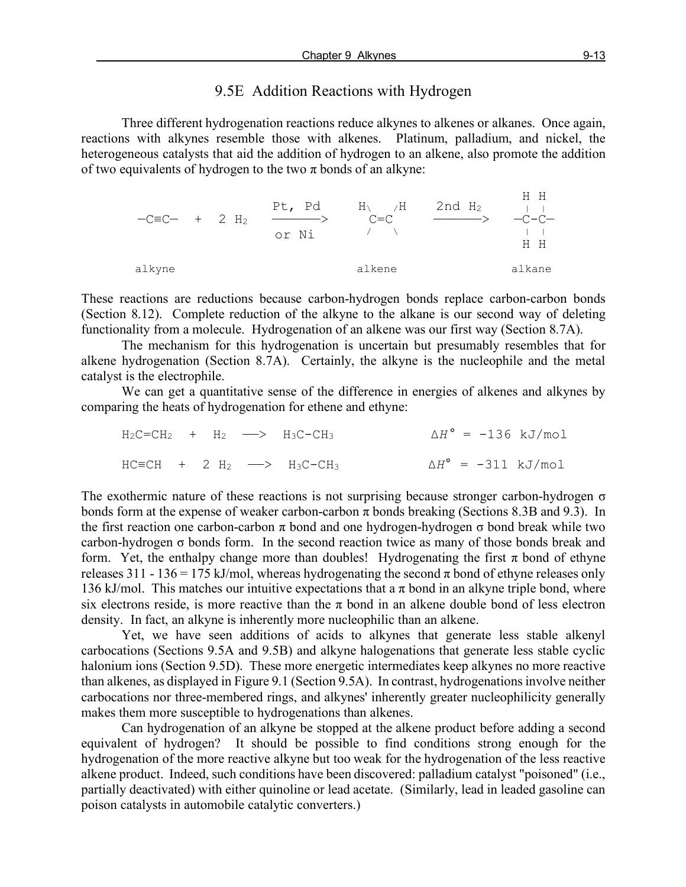#### 9.5E Addition Reactions with Hydrogen

Three different hydrogenation reactions reduce alkynes to alkenes or alkanes. Once again, reactions with alkynes resemble those with alkenes. Platinum, palladium, and nickel, the heterogeneous catalysts that aid the addition of hydrogen to an alkene, also promote the addition of two equivalents of hydrogen to the two  $\pi$  bonds of an alkyne:



These reactions are reductions because carbon-hydrogen bonds replace carbon-carbon bonds (Section 8.12). Complete reduction of the alkyne to the alkane is our second way of deleting functionality from a molecule. Hydrogenation of an alkene was our first way (Section 8.7A).

The mechanism for this hydrogenation is uncertain but presumably resembles that for alkene hydrogenation (Section 8.7A). Certainly, the alkyne is the nucleophile and the metal catalyst is the electrophile.

We can get a quantitative sense of the difference in energies of alkenes and alkynes by comparing the heats of hydrogenation for ethene and ethyne:

|  |  | $H_2C=CH_2$ + $H_2$ --> $H_3C-CH_3$    |  | $\Delta H^{\circ}$ = -136 kJ/mol |
|--|--|----------------------------------------|--|----------------------------------|
|  |  | $HC=CH + 2 H2 \longrightarrow H3C-CH3$ |  | $\Delta H^{\circ}$ = -311 kJ/mol |

The exothermic nature of these reactions is not surprising because stronger carbon-hydrogen  $\sigma$ bonds form at the expense of weaker carbon-carbon  $\pi$  bonds breaking (Sections 8.3B and 9.3). In the first reaction one carbon-carbon  $\pi$  bond and one hydrogen-hydrogen  $\sigma$  bond break while two carbon-hydrogen  $\sigma$  bonds form. In the second reaction twice as many of those bonds break and form. Yet, the enthalpy change more than doubles! Hydrogenating the first  $\pi$  bond of ethyne releases 311 - 136 = 175 kJ/mol, whereas hydrogenating the second  $\pi$  bond of ethyne releases only 136 kJ/mol. This matches our intuitive expectations that a  $\pi$  bond in an alkyne triple bond, where six electrons reside, is more reactive than the  $\pi$  bond in an alkene double bond of less electron density. In fact, an alkyne is inherently more nucleophilic than an alkene.

Yet, we have seen additions of acids to alkynes that generate less stable alkenyl carbocations (Sections 9.5A and 9.5B) and alkyne halogenations that generate less stable cyclic halonium ions (Section 9.5D). These more energetic intermediates keep alkynes no more reactive than alkenes, as displayed in Figure 9.1 (Section 9.5A). In contrast, hydrogenations involve neither carbocations nor three-membered rings, and alkynes' inherently greater nucleophilicity generally makes them more susceptible to hydrogenations than alkenes.

Can hydrogenation of an alkyne be stopped at the alkene product before adding a second equivalent of hydrogen? It should be possible to find conditions strong enough for the hydrogenation of the more reactive alkyne but too weak for the hydrogenation of the less reactive alkene product. Indeed, such conditions have been discovered: palladium catalyst "poisoned" (i.e., partially deactivated) with either quinoline or lead acetate. (Similarly, lead in leaded gasoline can poison catalysts in automobile catalytic converters.)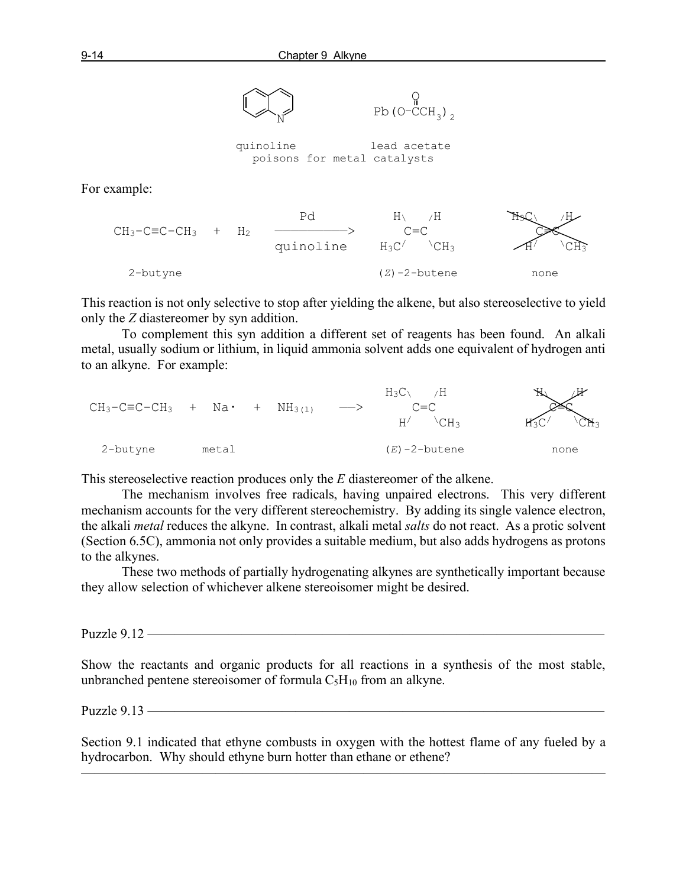

This reaction is not only selective to stop after yielding the alkene, but also stereoselective to yield only the *Z* diastereomer by syn addition.

To complement this syn addition a different set of reagents has been found. An alkali metal, usually sodium or lithium, in liquid ammonia solvent adds one equivalent of hydrogen anti to an alkyne. For example:



This stereoselective reaction produces only the *E* diastereomer of the alkene.

The mechanism involves free radicals, having unpaired electrons. This very different mechanism accounts for the very different stereochemistry. By adding its single valence electron, the alkali *metal* reduces the alkyne. In contrast, alkali metal *salts* do not react. As a protic solvent (Section 6.5C), ammonia not only provides a suitable medium, but also adds hydrogens as protons to the alkynes.

These two methods of partially hydrogenating alkynes are synthetically important because they allow selection of whichever alkene stereoisomer might be desired.

Puzzle 9.12 —

Show the reactants and organic products for all reactions in a synthesis of the most stable, unbranched pentene stereoisomer of formula  $C_5H_{10}$  from an alkyne.

Puzzle  $9.13$  —

Section 9.1 indicated that ethyne combusts in oxygen with the hottest flame of any fueled by a hydrocarbon. Why should ethyne burn hotter than ethane or ethene?

 $\overline{\phantom{a}}$  , and the contract of the contract of  $\overline{\phantom{a}}$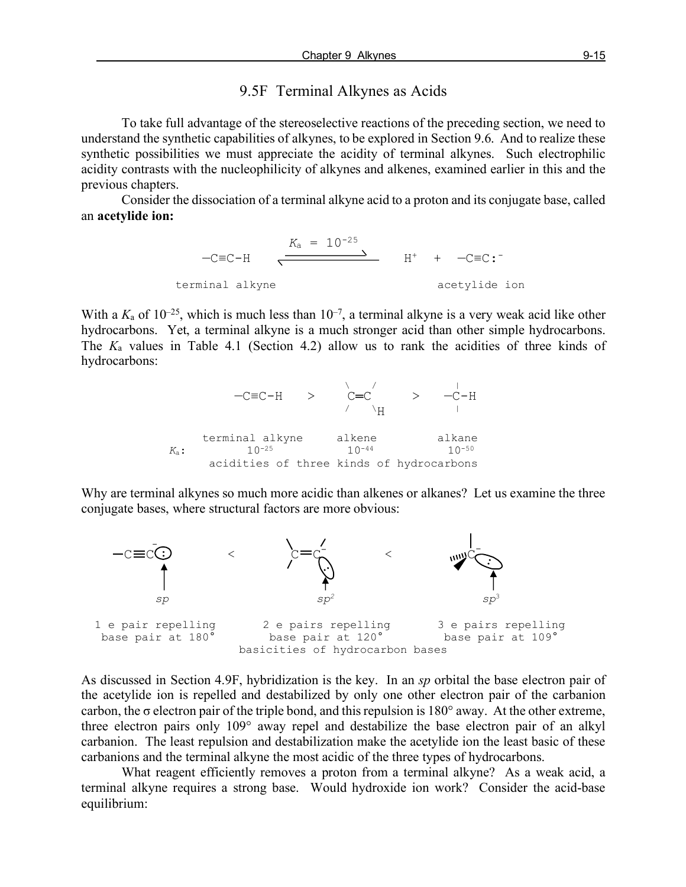## 9.5F Terminal Alkynes as Acids

To take full advantage of the stereoselective reactions of the preceding section, we need to understand the synthetic capabilities of alkynes, to be explored in Section 9.6. And to realize these synthetic possibilities we must appreciate the acidity of terminal alkynes. Such electrophilic acidity contrasts with the nucleophilicity of alkynes and alkenes, examined earlier in this and the previous chapters.

Consider the dissociation of a terminal alkyne acid to a proton and its conjugate base, called an **acetylide ion:**

$$
-C \equiv C - H \qquad \xleftarrow{K_a = 10^{-25}} H^+ + -C \equiv C : \negthickspace
$$
   
\n
$$
H^+ + -C \equiv C : \negthickspace
$$
   
\n
$$
\text{terminal alkyne} \qquad \text{acetylide ion}
$$

With a  $K_a$  of  $10^{-25}$ , which is much less than  $10^{-7}$ , a terminal alkyne is a very weak acid like other hydrocarbons. Yet, a terminal alkyne is a much stronger acid than other simple hydrocarbons. The *K*<sup>a</sup> values in Table 4.1 (Section 4.2) allow us to rank the acidities of three kinds of hydrocarbons:

 $\sqrt{2}$  /  $\sqrt{2}$  /  $\sqrt{2}$  /  $\sqrt{2}$  /  $\sqrt{2}$  /  $\sqrt{2}$  /  $\sqrt{2}$  /  $\sqrt{2}$  /  $\sqrt{2}$  /  $\sqrt{2}$  /  $\sqrt{2}$  /  $\sqrt{2}$  /  $\sqrt{2}$  /  $\sqrt{2}$  /  $\sqrt{2}$  /  $\sqrt{2}$  /  $\sqrt{2}$  /  $\sqrt{2}$  /  $\sqrt{2}$  /  $\sqrt{2}$  /  $\sqrt{2}$  /  $\sqrt{2}$  /  $-C \equiv C - H$  >  $C=C$  >  $-C-H$  $\wedge$   $\mathbb{H}$   $\wedge$   $\mathbb{H}$   $\wedge$   $\mathbb{H}$ terminal alkyne alkene alkane  $10^{-25}$  alkane  $10^{-44}$  alkane  $K_a: 10^{-25}$ acidities of three kinds of hydrocarbons

Why are terminal alkynes so much more acidic than alkenes or alkanes? Let us examine the three conjugate bases, where structural factors are more obvious:



As discussed in Section 4.9F, hybridization is the key. In an *sp* orbital the base electron pair of the acetylide ion is repelled and destabilized by only one other electron pair of the carbanion carbon, the  $\sigma$  electron pair of the triple bond, and this repulsion is 180 $^{\circ}$  away. At the other extreme, three electron pairs only 109° away repel and destabilize the base electron pair of an alkyl carbanion. The least repulsion and destabilization make the acetylide ion the least basic of these carbanions and the terminal alkyne the most acidic of the three types of hydrocarbons.

What reagent efficiently removes a proton from a terminal alkyne? As a weak acid, a terminal alkyne requires a strong base. Would hydroxide ion work? Consider the acid-base equilibrium: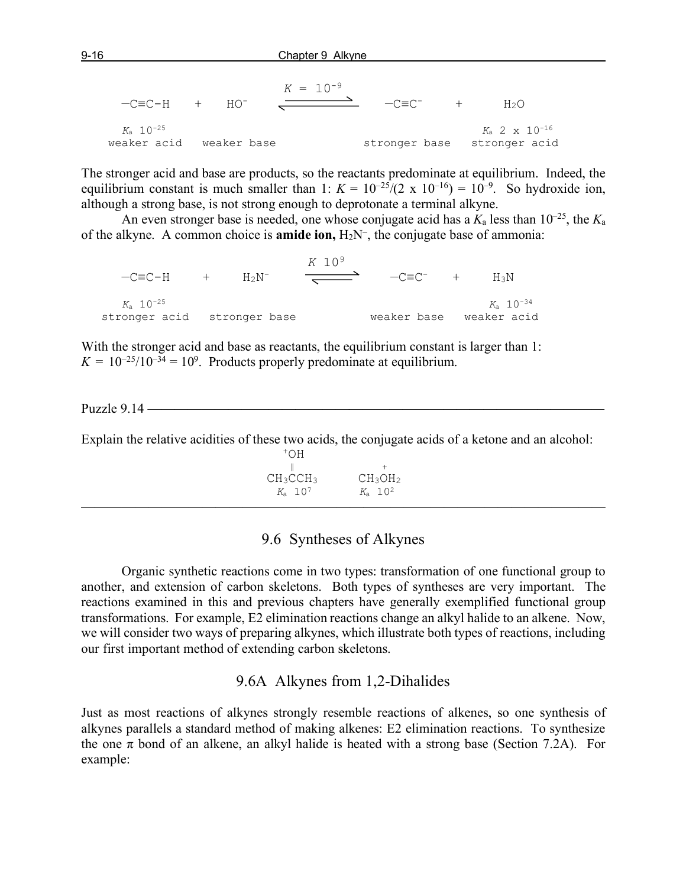| $-C= C-H$ + $HO^-$                     | $K = 10^{-9}$ | $-C\equiv C^{-}$ | H2O.                                                       |
|----------------------------------------|---------------|------------------|------------------------------------------------------------|
| $K_a$ 10 <sup>-25</sup><br>weaker acid | weaker base   |                  | $K_a$ 2 x 10 <sup>-16</sup><br>stronger base stronger acid |

The stronger acid and base are products, so the reactants predominate at equilibrium. Indeed, the equilibrium constant is much smaller than 1:  $K = 10^{-25}/(2 \times 10^{-16}) = 10^{-9}$ . So hydroxide ion, although a strong base, is not strong enough to deprotonate a terminal alkyne.

An even stronger base is needed, one whose conjugate acid has a  $K_a$  less than  $10^{-25}$ , the  $K_a$ of the alkyne. A common choice is **amide ion,** H2N–, the conjugate base of ammonia:

 *K* 109  $-C\equiv C-H$  +  $H_2N^ \longrightarrow$   $-C\equiv C^-$  +  $H_3N$  *K*<sup>a</sup> 10-25 *K*<sup>a</sup> 10-34 stronger acid stronger base weaker base weaker acid

With the stronger acid and base as reactants, the equilibrium constant is larger than 1:  $K = 10^{-25}/10^{-34} = 10^9$ . Products properly predominate at equilibrium.

Puzzle 9.14 –

Explain the relative acidities of these two acids, the conjugate acids of a ketone and an alcohol:

 $+$ OH  $\parallel$  $CH_3CCH_3$   $CH_3OH_2$ <br> $K_a$  10<sup>7</sup>  $K_a$  10<sup>2</sup>  $K_a$  10<sup>7</sup>

#### 9.6 Syntheses of Alkynes

 $\overline{\phantom{a}}$  , and the contract of the contract of  $\overline{\phantom{a}}$ 

Organic synthetic reactions come in two types: transformation of one functional group to another, and extension of carbon skeletons. Both types of syntheses are very important. The reactions examined in this and previous chapters have generally exemplified functional group transformations. For example, E2 elimination reactions change an alkyl halide to an alkene. Now, we will consider two ways of preparing alkynes, which illustrate both types of reactions, including our first important method of extending carbon skeletons.

#### 9.6A Alkynes from 1,2-Dihalides

Just as most reactions of alkynes strongly resemble reactions of alkenes, so one synthesis of alkynes parallels a standard method of making alkenes: E2 elimination reactions. To synthesize the one  $\pi$  bond of an alkene, an alkyl halide is heated with a strong base (Section 7.2A). For example: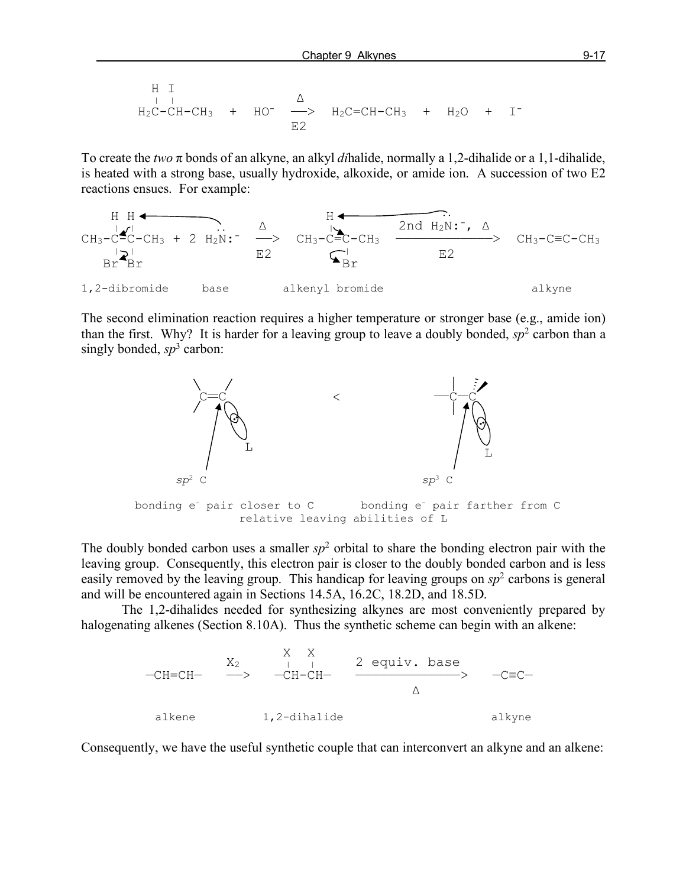H I  
\n
$$
H_2C-CH-CH_3 + HO^- \xrightarrow{\Delta} H_2C=CH-CH_3 + H_2O + I^-
$$
\nE2

To create the *two* π bonds of an alkyne, an alkyl *di*halide, normally a 1,2-dihalide or a 1,1-dihalide, is heated with a strong base, usually hydroxide, alkoxide, or amide ion. A succession of two E2 reactions ensues. For example:



The second elimination reaction requires a higher temperature or stronger base (e.g., amide ion) than the first. Why? It is harder for a leaving group to leave a doubly bonded,  $sp<sup>2</sup>$  carbon than a singly bonded,  $sp^3$  carbon:



The doubly bonded carbon uses a smaller  $sp<sup>2</sup>$  orbital to share the bonding electron pair with the leaving group. Consequently, this electron pair is closer to the doubly bonded carbon and is less easily removed by the leaving group. This handicap for leaving groups on *sp*<sup>2</sup> carbons is general and will be encountered again in Sections 14.5A, 16.2C, 18.2D, and 18.5D.

The 1,2-dihalides needed for synthesizing alkynes are most conveniently prepared by halogenating alkenes (Section 8.10A). Thus the synthetic scheme can begin with an alkene:

$$
-CH=CH-
$$
  
\n
$$
X_2
$$
  
\n
$$
-CH=CH-
$$
  
\n
$$
-CH=CH-
$$
  
\n
$$
-CH=CH-
$$
  
\n
$$
2 \text{ equiv. base}
$$
  
\n
$$
\triangle
$$
  
\n
$$
-CEC-
$$
  
\n
$$
\triangle
$$
  
\n
$$
2 \text{equiv. base}
$$
  
\n
$$
\triangle
$$
  
\n
$$
\triangle
$$
  
\n
$$
2 \text{equiv. base}
$$
  
\n
$$
\triangle
$$
  
\n
$$
\triangle
$$
  
\n
$$
\triangle
$$

Consequently, we have the useful synthetic couple that can interconvert an alkyne and an alkene: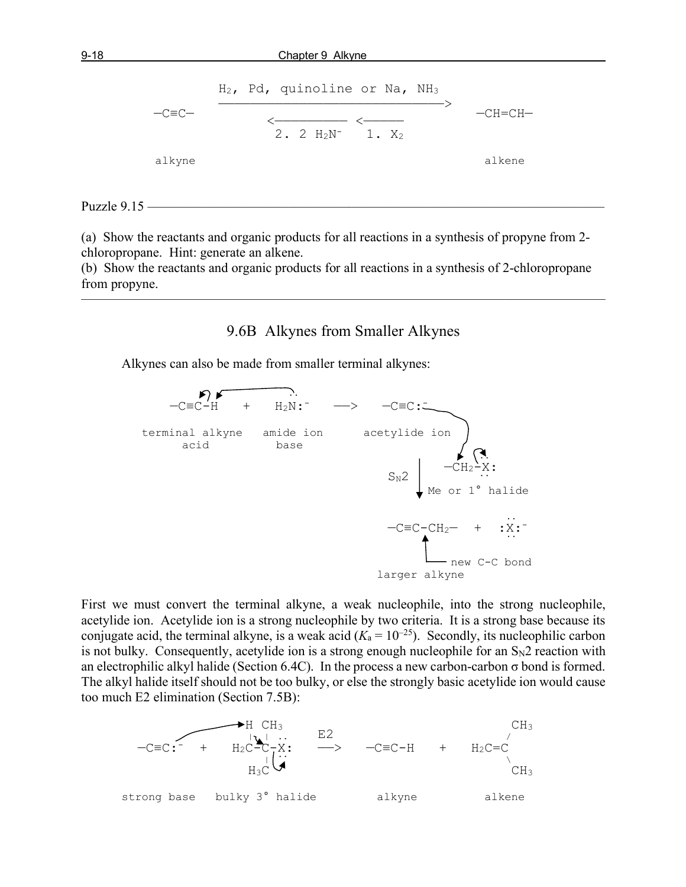$$
-C \equiv C -
$$
\n
$$
-C \equiv C -
$$
\n
$$
\xrightarrow{\text{M2, Pd, quinoline or Na, NH3}}
$$
\n
$$
-CH = CH -
$$
\n
$$
2. 2 H2N- 1. X2
$$
\n
$$
a1kene\n\end{math}
$$

Puzzle  $9.15$  —

(a) Show the reactants and organic products for all reactions in a synthesis of propyne from 2 chloropropane. Hint: generate an alkene.

(b) Show the reactants and organic products for all reactions in a synthesis of 2-chloropropane from propyne.

9.6B Alkynes from Smaller Alkynes

———————————————————————————————————————

Alkynes can also be made from smaller terminal alkynes:



First we must convert the terminal alkyne, a weak nucleophile, into the strong nucleophile, acetylide ion. Acetylide ion is a strong nucleophile by two criteria. It is a strong base because its conjugate acid, the terminal alkyne, is a weak acid  $(K_a = 10^{-25})$ . Secondly, its nucleophilic carbon is not bulky. Consequently, acetylide ion is a strong enough nucleophile for an  $S_N2$  reaction with an electrophilic alkyl halide (Section 6.4C). In the process a new carbon-carbon  $\sigma$  bond is formed. The alkyl halide itself should not be too bulky, or else the strongly basic acetylide ion would cause too much E2 elimination (Section 7.5B):

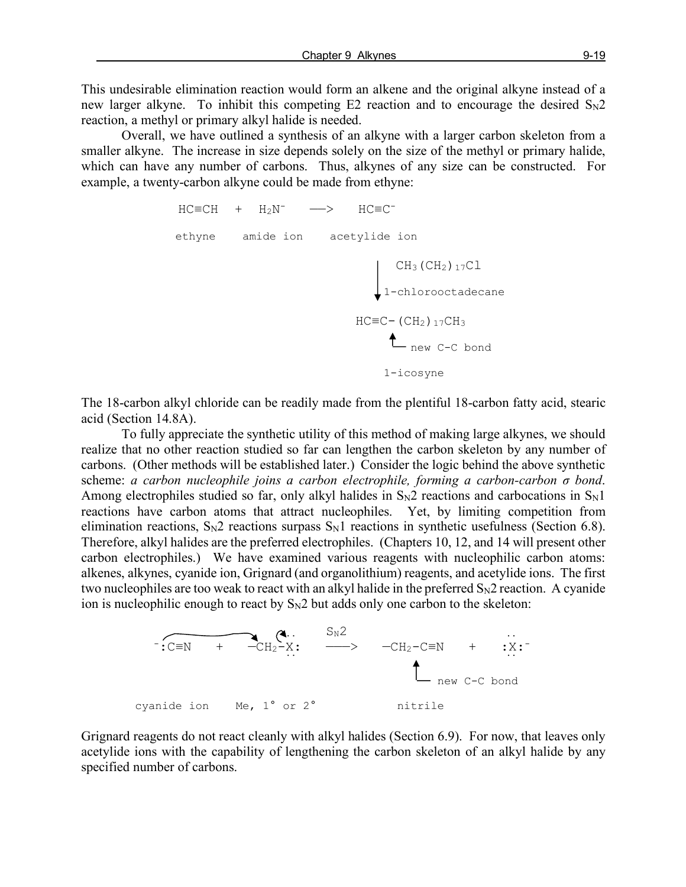This undesirable elimination reaction would form an alkene and the original alkyne instead of a new larger alkyne. To inhibit this competing  $E2$  reaction and to encourage the desired  $S_N2$ reaction, a methyl or primary alkyl halide is needed.

Overall, we have outlined a synthesis of an alkyne with a larger carbon skeleton from a smaller alkyne. The increase in size depends solely on the size of the methyl or primary halide, which can have any number of carbons. Thus, alkynes of any size can be constructed. For example, a twenty-carbon alkyne could be made from ethyne:

```
HC=CH + H_2N^- --> HC= ethyne amide ion acetylide ion
                                            CH_3 (CH<sub>2</sub>)<sub>17</sub>C<sub>1</sub>
                                          1-chlorooctadecane
                                     HC \equiv C - (CH<sub>2</sub>)<sub>17</sub>CH<sub>3</sub>thew C-C bond
                                            1-icosyne
```
The 18-carbon alkyl chloride can be readily made from the plentiful 18-carbon fatty acid, stearic acid (Section 14.8A).

To fully appreciate the synthetic utility of this method of making large alkynes, we should realize that no other reaction studied so far can lengthen the carbon skeleton by any number of carbons. (Other methods will be established later.) Consider the logic behind the above synthetic scheme: *a carbon nucleophile joins a carbon electrophile, forming a carbon-carbon σ bond*. Among electrophiles studied so far, only alkyl halides in  $S_N2$  reactions and carbocations in  $S_N1$ reactions have carbon atoms that attract nucleophiles. Yet, by limiting competition from elimination reactions,  $S_N2$  reactions surpass  $S_N1$  reactions in synthetic usefulness (Section 6.8). Therefore, alkyl halides are the preferred electrophiles. (Chapters 10, 12, and 14 will present other carbon electrophiles.) We have examined various reagents with nucleophilic carbon atoms: alkenes, alkynes, cyanide ion, Grignard (and organolithium) reagents, and acetylide ions. The first two nucleophiles are too weak to react with an alkyl halide in the preferred  $S_N2$  reaction. A cyanide ion is nucleophilic enough to react by  $S_N2$  but adds only one carbon to the skeleton:



Grignard reagents do not react cleanly with alkyl halides (Section 6.9). For now, that leaves only acetylide ions with the capability of lengthening the carbon skeleton of an alkyl halide by any specified number of carbons.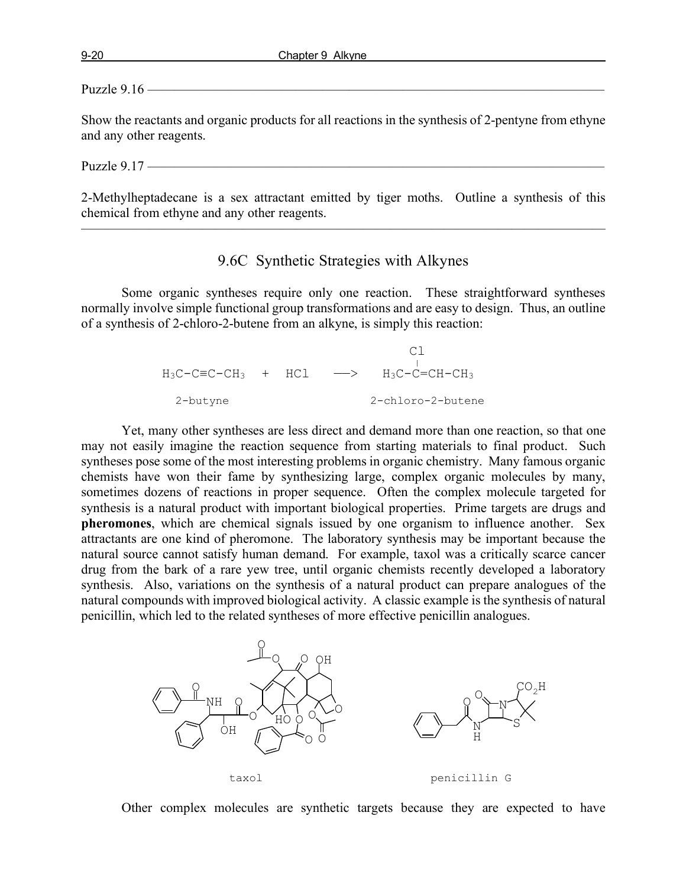#### Puzzle 9.16 ——

Show the reactants and organic products for all reactions in the synthesis of 2-pentyne from ethyne and any other reagents.

#### Puzzle  $9.17$  –

2-Methylheptadecane is a sex attractant emitted by tiger moths. Outline a synthesis of this chemical from ethyne and any other reagents.

———————————————————————————————————————

# 9.6C Synthetic Strategies with Alkynes

Some organic syntheses require only one reaction. These straightforward syntheses normally involve simple functional group transformations and are easy to design. Thus, an outline of a synthesis of 2-chloro-2-butene from an alkyne, is simply this reaction:

|          |  | $H_3C-C=CC-CH_3$ + HCl $\longrightarrow$ $H_3C-C=CH-CH_3$ |
|----------|--|-----------------------------------------------------------|
| 2-butyne |  | 2-chloro-2-butene                                         |

Yet, many other syntheses are less direct and demand more than one reaction, so that one may not easily imagine the reaction sequence from starting materials to final product. Such syntheses pose some of the most interesting problems in organic chemistry. Many famous organic chemists have won their fame by synthesizing large, complex organic molecules by many, sometimes dozens of reactions in proper sequence. Often the complex molecule targeted for synthesis is a natural product with important biological properties. Prime targets are drugs and **pheromones**, which are chemical signals issued by one organism to influence another. Sex attractants are one kind of pheromone. The laboratory synthesis may be important because the natural source cannot satisfy human demand. For example, taxol was a critically scarce cancer drug from the bark of a rare yew tree, until organic chemists recently developed a laboratory synthesis. Also, variations on the synthesis of a natural product can prepare analogues of the natural compounds with improved biological activity. A classic example is the synthesis of natural penicillin, which led to the related syntheses of more effective penicillin analogues.



Other complex molecules are synthetic targets because they are expected to have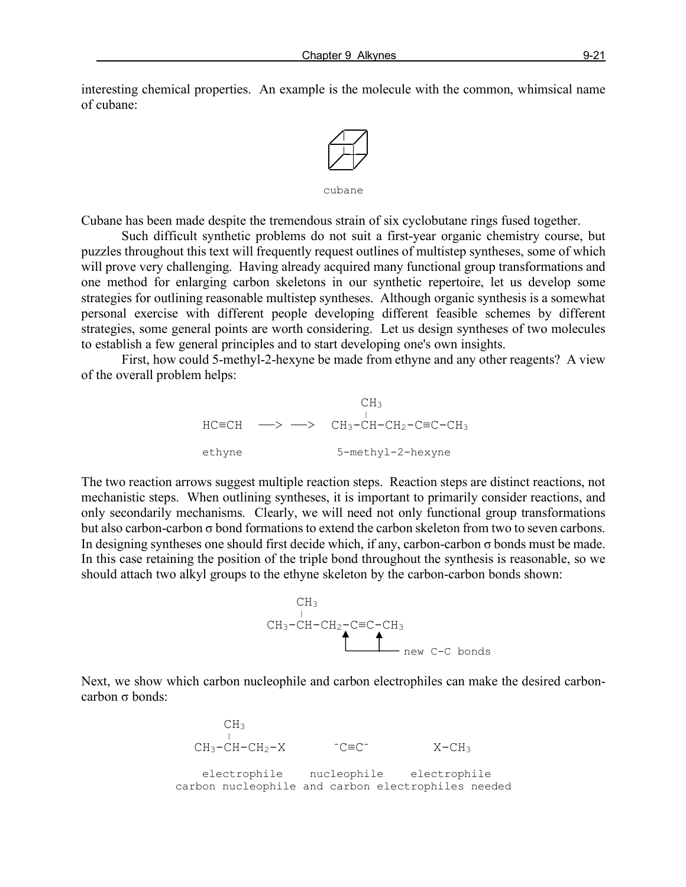interesting chemical properties. An example is the molecule with the common, whimsical name of cubane:



Cubane has been made despite the tremendous strain of six cyclobutane rings fused together.

Such difficult synthetic problems do not suit a first-year organic chemistry course, but puzzles throughout this text will frequently request outlines of multistep syntheses, some of which will prove very challenging. Having already acquired many functional group transformations and one method for enlarging carbon skeletons in our synthetic repertoire, let us develop some strategies for outlining reasonable multistep syntheses. Although organic synthesis is a somewhat personal exercise with different people developing different feasible schemes by different strategies, some general points are worth considering. Let us design syntheses of two molecules to establish a few general principles and to start developing one's own insights.

First, how could 5-methyl-2-hexyne be made from ethyne and any other reagents? A view of the overall problem helps:



The two reaction arrows suggest multiple reaction steps. Reaction steps are distinct reactions, not mechanistic steps. When outlining syntheses, it is important to primarily consider reactions, and only secondarily mechanisms. Clearly, we will need not only functional group transformations but also carbon-carbon σ bond formations to extend the carbon skeleton from two to seven carbons. In designing syntheses one should first decide which, if any, carbon-carbon σ bonds must be made. In this case retaining the position of the triple bond throughout the synthesis is reasonable, so we should attach two alkyl groups to the ethyne skeleton by the carbon-carbon bonds shown:



Next, we show which carbon nucleophile and carbon electrophiles can make the desired carboncarbon σ bonds:

 $CH<sub>3</sub>$  $CH_3-CH-CH_2-X$   $-C\equiv C^ X-CH_3$  electrophile nucleophile electrophile carbon nucleophile and carbon electrophiles needed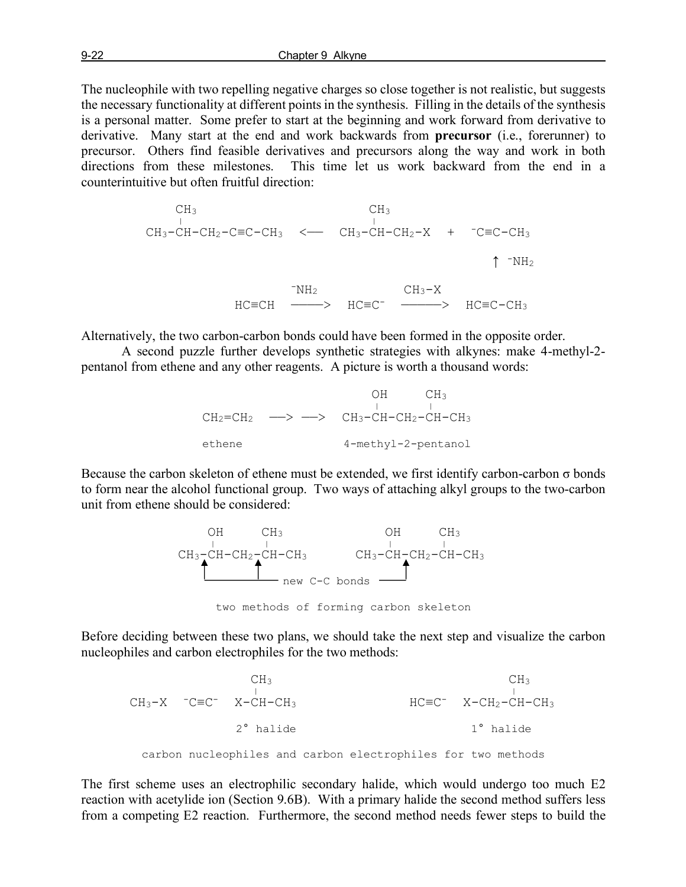The nucleophile with two repelling negative charges so close together is not realistic, but suggests the necessary functionality at different points in the synthesis. Filling in the details of the synthesis is a personal matter. Some prefer to start at the beginning and work forward from derivative to derivative. Many start at the end and work backwards from **precursor** (i.e., forerunner) to precursor. Others find feasible derivatives and precursors along the way and work in both directions from these milestones. This time let us work backward from the end in a counterintuitive but often fruitful direction:

$$
CH_{3} \t CH_{3}
$$
\n
$$
CH_{3} - CH - CH_{2} - C \equiv C - CH_{3} \leftarrow CH_{3} - CH - CH_{2} - X + C \equiv C - CH_{3}
$$
\n
$$
T \rightarrow TH_{2}
$$
\n
$$
HC \equiv CH \xrightarrow{\text{TH}_{2}} HC \equiv C^{-} \xrightarrow{\text{H}_{3} - X} HC \equiv C - CH_{3}
$$

Alternatively, the two carbon-carbon bonds could have been formed in the opposite order.

A second puzzle further develops synthetic strategies with alkynes: make 4-methyl-2 pentanol from ethene and any other reagents. A picture is worth a thousand words:

OH CH<sub>3</sub>  $CH_2=CH_2$   $\longrightarrow$   $\longrightarrow$   $CH_3-CH-CH_2-CH-CH_3$ ethene 4-methyl-2-pentanol

Because the carbon skeleton of ethene must be extended, we first identify carbon-carbon  $\sigma$  bonds to form near the alcohol functional group. Two ways of attaching alkyl groups to the two-carbon unit from ethene should be considered:



two methods of forming carbon skeleton

Before deciding between these two plans, we should take the next step and visualize the carbon nucleophiles and carbon electrophiles for the two methods:

 $CH_3$  CH<sub>3</sub>  $CH_3-X$   $-C\equiv C^ X-CH-CH_3$   $HC\equiv C^ X-CH_2-CH-CH_3$  2° halide 1° halide carbon nucleophiles and carbon electrophiles for two methods

The first scheme uses an electrophilic secondary halide, which would undergo too much E2 reaction with acetylide ion (Section 9.6B). With a primary halide the second method suffers less from a competing E2 reaction. Furthermore, the second method needs fewer steps to build the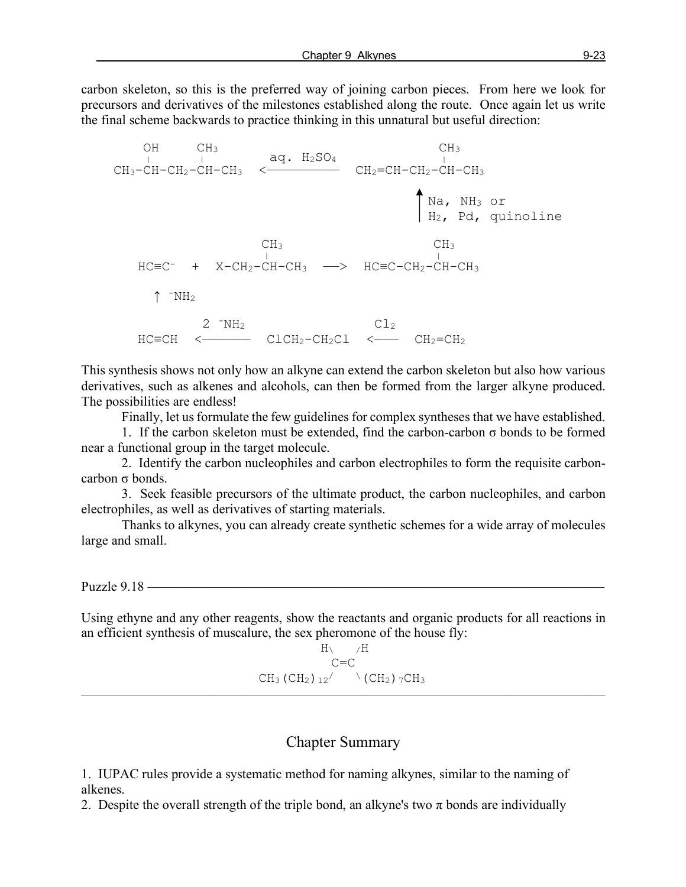carbon skeleton, so this is the preferred way of joining carbon pieces. From here we look for precursors and derivatives of the milestones established along the route. Once again let us write the final scheme backwards to practice thinking in this unnatural but useful direction:

OH  $CH_3$   $H_2SO_4$   $H_3$  CH3-CH-CH2-CH-CH3 <————————— CH2=CH-CH2-CH-CH3 Na, NH3 or H2, Pd, quinoline  $CH_3$  CH<sub>3</sub> CH<sub>3</sub> HC≡C- + X-CH2-CH-CH3 ——> HC≡C-CH2-CH-CH3  $\uparrow$   $\neg$ NH<sub>2</sub>  $2$   $\neg$ NH<sub>2</sub> Cl<sub>2</sub> HC≡CH <—————— ClCH2-CH2Cl <——— CH2=CH2

This synthesis shows not only how an alkyne can extend the carbon skeleton but also how various derivatives, such as alkenes and alcohols, can then be formed from the larger alkyne produced. The possibilities are endless!

Finally, let us formulate the few guidelines for complex syntheses that we have established.

1. If the carbon skeleton must be extended, find the carbon-carbon  $\sigma$  bonds to be formed near a functional group in the target molecule.

2. Identify the carbon nucleophiles and carbon electrophiles to form the requisite carboncarbon σ bonds.

3. Seek feasible precursors of the ultimate product, the carbon nucleophiles, and carbon electrophiles, as well as derivatives of starting materials.

Thanks to alkynes, you can already create synthetic schemes for a wide array of molecules large and small.

Puzzle 9.18 ————

Using ethyne and any other reagents, show the reactants and organic products for all reactions in an efficient synthesis of muscalure, the sex pheromone of the house fly:

$$
H\setminus A
$$
  
\n
$$
C=C
$$
  
\n
$$
CH_3 (CH_2) 12 / \sqrt{(CH_2) 7CH_3}
$$

## Chapter Summary

1. IUPAC rules provide a systematic method for naming alkynes, similar to the naming of alkenes.

2. Despite the overall strength of the triple bond, an alkyne's two  $\pi$  bonds are individually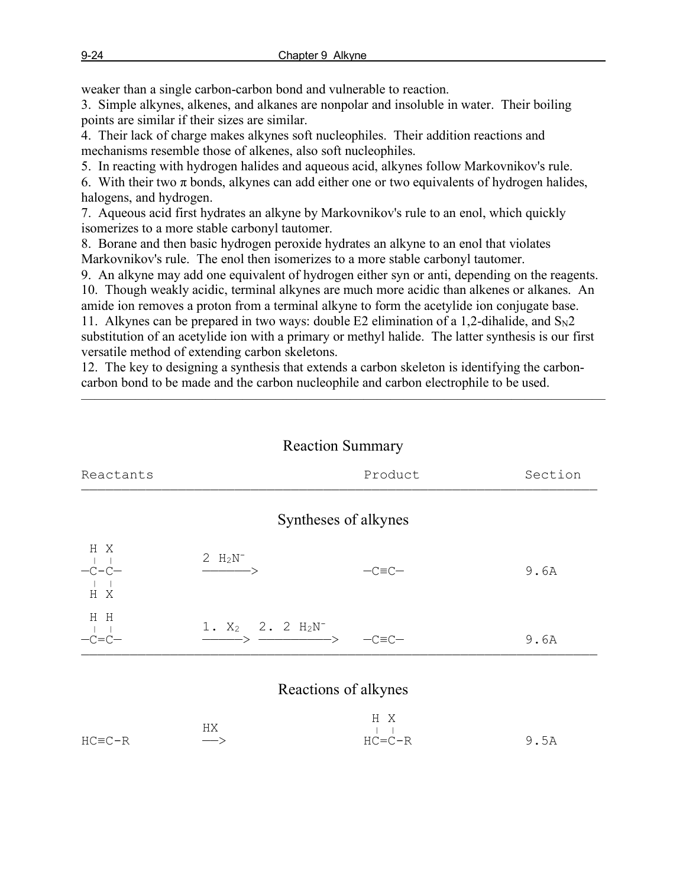weaker than a single carbon-carbon bond and vulnerable to reaction.

3. Simple alkynes, alkenes, and alkanes are nonpolar and insoluble in water. Their boiling points are similar if their sizes are similar.

4. Their lack of charge makes alkynes soft nucleophiles. Their addition reactions and mechanisms resemble those of alkenes, also soft nucleophiles.

5. In reacting with hydrogen halides and aqueous acid, alkynes follow Markovnikov's rule.

6. With their two  $\pi$  bonds, alkynes can add either one or two equivalents of hydrogen halides, halogens, and hydrogen.

7. Aqueous acid first hydrates an alkyne by Markovnikov's rule to an enol, which quickly isomerizes to a more stable carbonyl tautomer.

8. Borane and then basic hydrogen peroxide hydrates an alkyne to an enol that violates Markovnikov's rule. The enol then isomerizes to a more stable carbonyl tautomer.

9. An alkyne may add one equivalent of hydrogen either syn or anti, depending on the reagents. 10. Though weakly acidic, terminal alkynes are much more acidic than alkenes or alkanes. An amide ion removes a proton from a terminal alkyne to form the acetylide ion conjugate base.

11. Alkynes can be prepared in two ways: double E2 elimination of a 1,2-dihalide, and  $S_{N2}$ substitution of an acetylide ion with a primary or methyl halide. The latter synthesis is our first versatile method of extending carbon skeletons.

12. The key to designing a synthesis that extends a carbon skeleton is identifying the carboncarbon bond to be made and the carbon nucleophile and carbon electrophile to be used.

| <b>Reaction Summary</b> |  |
|-------------------------|--|
|-------------------------|--|

———————————————————————————————————————

| Reactants             |                                                               | Product              | Section |
|-----------------------|---------------------------------------------------------------|----------------------|---------|
|                       |                                                               | Syntheses of alkynes |         |
| H X<br>$-C-C-$<br>H X | $2 H_2N^-$<br>$\longrightarrow$                               | $-C\equiv C-$        | 9.6A    |
| H H<br>$-C=C-$        | 1. $X_2$ 2. 2 $H_2N^-$<br>$\longrightarrow$ $\longrightarrow$ | $-C\equiv C-$        | 9.6A    |
|                       |                                                               | Reactions of alkynes |         |

|              |                   | H X          |      |
|--------------|-------------------|--------------|------|
|              | HХ                | $\mathbf{1}$ |      |
| $HC = C - R$ | $\longrightarrow$ | $HC = C - R$ | 9.5A |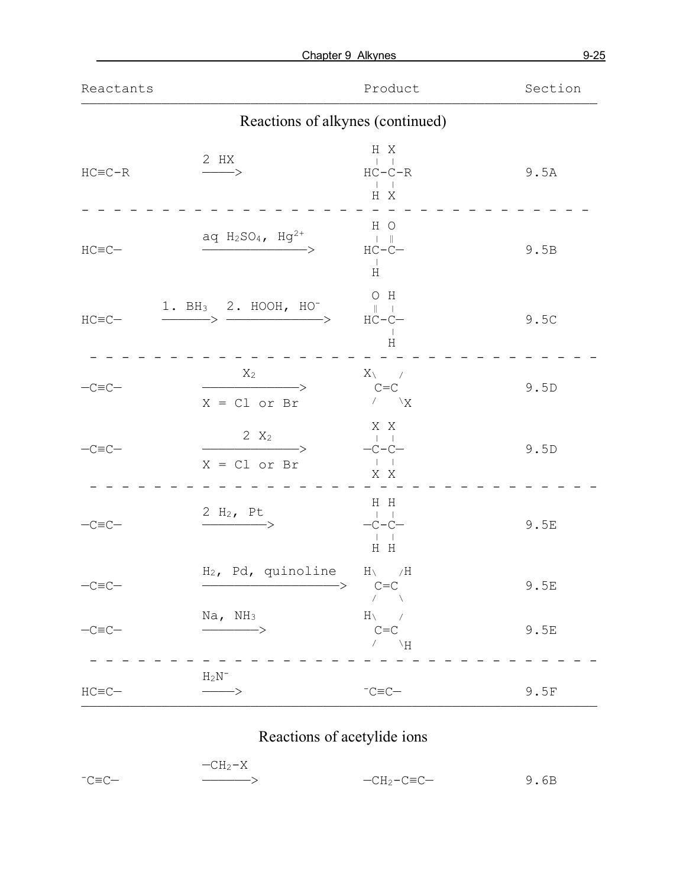|               |                                                                                                                                                                                                                                                                                                                                                                                                                                | Chapter 9 Alkynes                                                  | $9 - 25$ |
|---------------|--------------------------------------------------------------------------------------------------------------------------------------------------------------------------------------------------------------------------------------------------------------------------------------------------------------------------------------------------------------------------------------------------------------------------------|--------------------------------------------------------------------|----------|
| Reactants     |                                                                                                                                                                                                                                                                                                                                                                                                                                | Product                                                            | Section  |
|               | Reactions of alkynes (continued)                                                                                                                                                                                                                                                                                                                                                                                               |                                                                    |          |
| $HC = C - R$  | 2 HX<br>$\longrightarrow$                                                                                                                                                                                                                                                                                                                                                                                                      | H X<br>$\sim$ 1 $\sim$ 1<br>$HC-C-R$<br>$-1$ $-1$<br>H X           | 9.5A     |
| $HC=$ $C-$    | aq $H_2SO_4$ , $Hg^{2+}$                                                                                                                                                                                                                                                                                                                                                                                                       | H O<br>$\pm 1$ .<br><br>If<br>$HC-C-$<br>$\mathbb{R}$<br>H         | 9.5B     |
| $HC=$ $C-$    | 1. BH3 2. HOOH, HO <sup>-</sup><br>$\begin{picture}(150,10) \put(0,0){\dashbox{0.5}(10,0){ }} \put(15,0){\circle{10}} \put(15,0){\circle{10}} \put(15,0){\circle{10}} \put(15,0){\circle{10}} \put(15,0){\circle{10}} \put(15,0){\circle{10}} \put(15,0){\circle{10}} \put(15,0){\circle{10}} \put(15,0){\circle{10}} \put(15,0){\circle{10}} \put(15,0){\circle{10}} \put(15,0){\circle{10}} \put(15,0){\circle{10}} \put(15$ | $O$ H<br>$\mathbb{R}$ $\mathbb{R}$<br>$HC-C-$<br>$\Box$<br>$\rm H$ | 9.5C     |
| $-C\equiv C-$ | $X_2$<br>$\longrightarrow$<br>$X = CL$ or Br                                                                                                                                                                                                                                                                                                                                                                                   | $X \setminus \qquad /$<br>$C = C$<br>$\sqrt{X}$                    | 9.5D     |
| $-C\equiv C-$ | 2 $X_2$<br>$\longrightarrow$<br>$X = CL$ or Br                                                                                                                                                                                                                                                                                                                                                                                 | X X<br>$\Box$<br>$-C-C-$<br>$-1\,-1$<br>X X                        | 9.5D     |
| $-C=$ $C-$    | 2 $H_2$ , Pt<br>$\overline{\phantom{}}\xrightarrow{\phantom{}}$                                                                                                                                                                                                                                                                                                                                                                | H H<br>$\perp$ $\perp$<br>$-C-C-$<br>H H                           | 9.5E     |
| $-C=$ $C-$    | $H_2$ , Pd, quinoline $H_1$ /H<br>->                                                                                                                                                                                                                                                                                                                                                                                           | $C = C$<br>$\sqrt{2}$                                              | 9.5E     |
| $-C\equiv C-$ | $Na$ , $NH3$<br>$\longrightarrow$                                                                                                                                                                                                                                                                                                                                                                                              | $H \setminus \qquad /$<br>$C = C$<br>$\wedge$ $\qquad$ /H          | 9.5E     |
| $HC = C -$    | $H_2N^-$<br>$\longrightarrow$                                                                                                                                                                                                                                                                                                                                                                                                  | $^{-}C \equiv C -$                                                 | 9.5F     |

# Reactions of acetylide ions

|           | $-CH2-X$ |               |      |
|-----------|----------|---------------|------|
| $-C= C$ — |          | $-CH_2-C=CC-$ | 9.6B |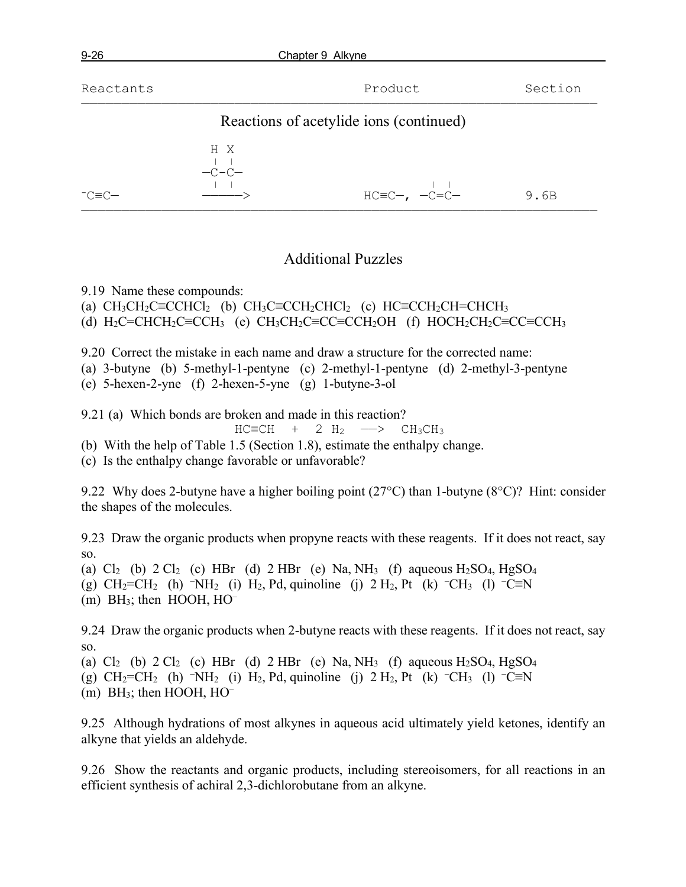Reactants **Reactants** Product **Section** 

## ———————————————————————————————————————————————————————————————— Reactions of acetylide ions (continued)



# Additional Puzzles

9.19 Name these compounds:

(a)  $CH_3CH_2C \equiv CCHCl_2$  (b)  $CH_3C \equiv CCH_2CHCl_2$  (c)  $HC \equiv CCH_2CH \equiv CHCH_3$ 

(d)  $H_2C=CHCH_2C\equiv CCH_3$  (e)  $CH_3CH_2C\equiv CC\equiv CCH_2OH$  (f)  $HOCH_2CH_2C\equiv CC\equiv CCH_3$ 

9.20 Correct the mistake in each name and draw a structure for the corrected name:

(a) 3-butyne (b) 5-methyl-1-pentyne (c) 2-methyl-1-pentyne (d) 2-methyl-3-pentyne

(e) 5-hexen-2-yne (f) 2-hexen-5-yne (g) 1-butyne-3-ol

9.21 (a) Which bonds are broken and made in this reaction?

$$
HC=CH + 2 H2 \longrightarrow CH3CH3
$$

(b) With the help of Table 1.5 (Section 1.8), estimate the enthalpy change.

(c) Is the enthalpy change favorable or unfavorable?

9.22 Why does 2-butyne have a higher boiling point (27°C) than 1-butyne (8°C)? Hint: consider the shapes of the molecules.

9.23 Draw the organic products when propyne reacts with these reagents. If it does not react, say so.

(a)  $Cl_2$  (b)  $2 Cl_2$  (c) HBr (d)  $2 HBr$  (e) Na, NH<sub>3</sub> (f) aqueous H<sub>2</sub>SO<sub>4</sub>, HgSO<sub>4</sub>

(g)  $CH_2=CH_2$  (h)  $\neg N H_2$  (i)  $H_2$ , Pd, quinoline (j) 2  $H_2$ , Pt (k)  $\neg CH_3$  (l)  $\neg C \equiv N$ 

 $(m)$  BH<sub>3</sub>; then HOOH, HO<sup>–</sup>

9.24 Draw the organic products when 2-butyne reacts with these reagents. If it does not react, say so.

(a)  $Cl_2$  (b)  $2 Cl_2$  (c) HBr (d)  $2 HBr$  (e) Na, NH<sub>3</sub> (f) aqueous H<sub>2</sub>SO<sub>4</sub>, HgSO<sub>4</sub> (g) CH2=CH2 (h) –NH2 (i) H2, Pd, quinoline (j) 2 H2, Pt (k) – CH3 (l) –C≡N  $(m)$  BH<sub>3</sub>; then HOOH, HO<sup>-</sup>

9.25 Although hydrations of most alkynes in aqueous acid ultimately yield ketones, identify an alkyne that yields an aldehyde.

9.26 Show the reactants and organic products, including stereoisomers, for all reactions in an efficient synthesis of achiral 2,3-dichlorobutane from an alkyne.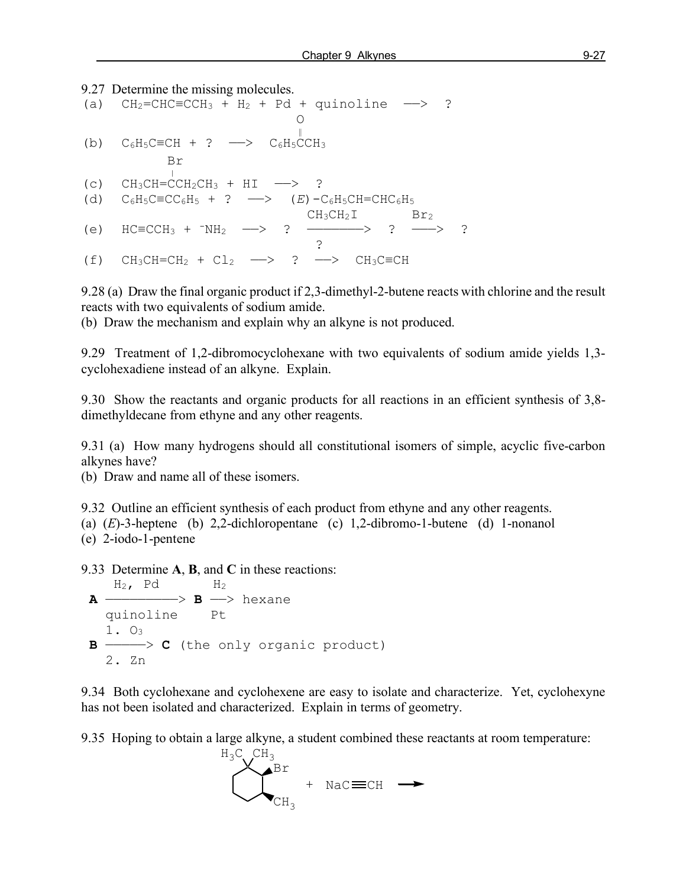## 9.27 Determine the missing molecules. (a)  $CH_2=CHC=CCH_3 + H_2 + Pd + \text{quinoline } \longrightarrow ?$ **O** and the contract of the contract of the contract of the contract of the contract of the contract of the contract of the contract of the contract of the contract of the contract of the contract of the contract of the co ‖ (b)  $C_6H_5C\equiv CH + ? \longrightarrow C_6H_5CCH_3$  $\mathop{\mathrm{Br}}$ (c)  $CH_3CH=CCH_2CH_3 + HI \longrightarrow ?$ (d)  $C_6H_5C\equiv CC_6H_5 + ? \longrightarrow (E)-C_6H_5CH=CHC_6H_5$  $CH_3CH_2I$  Br<sub>2</sub> (e)  $HC \equiv CCH_3 + TM_2 \longrightarrow ? \longrightarrow ? \longrightarrow ?$  ? (f)  $CH_3CH=CH_2 + Cl_2 \longrightarrow ? \longrightarrow CH_3C=CH$

9.28 (a) Draw the final organic product if 2,3-dimethyl-2-butene reacts with chlorine and the result reacts with two equivalents of sodium amide.

(b) Draw the mechanism and explain why an alkyne is not produced.

9.29 Treatment of 1,2-dibromocyclohexane with two equivalents of sodium amide yields 1,3 cyclohexadiene instead of an alkyne. Explain.

9.30 Show the reactants and organic products for all reactions in an efficient synthesis of 3,8 dimethyldecane from ethyne and any other reagents.

9.31 (a) How many hydrogens should all constitutional isomers of simple, acyclic five-carbon alkynes have?

(b) Draw and name all of these isomers.

9.32 Outline an efficient synthesis of each product from ethyne and any other reagents. (a) (*E*)-3-heptene (b) 2,2-dichloropentane (c) 1,2-dibromo-1-butene (d) 1-nonanol (e) 2-iodo-1-pentene

9.33 Determine **A**, **B**, and **C** in these reactions:

\n
$$
H_2
$$
, Pd  $H_2$   
\n $\rightarrow$  B  $\rightarrow$  hexane  
\n*quinoline* Pt  
\n $1. \ 0_3$   
\n $\rightarrow$  C (the only organic product)  
\n $2. \ \, \text{Zn}$ \n

9.34 Both cyclohexane and cyclohexene are easy to isolate and characterize. Yet, cyclohexyne has not been isolated and characterized. Explain in terms of geometry.

9.35 Hoping to obtain a large alkyne, a student combined these reactants at room temperature:

$$
H_3C
$$
CH<sub>3</sub>Br  
CH<sub>3</sub> + Nac=CH